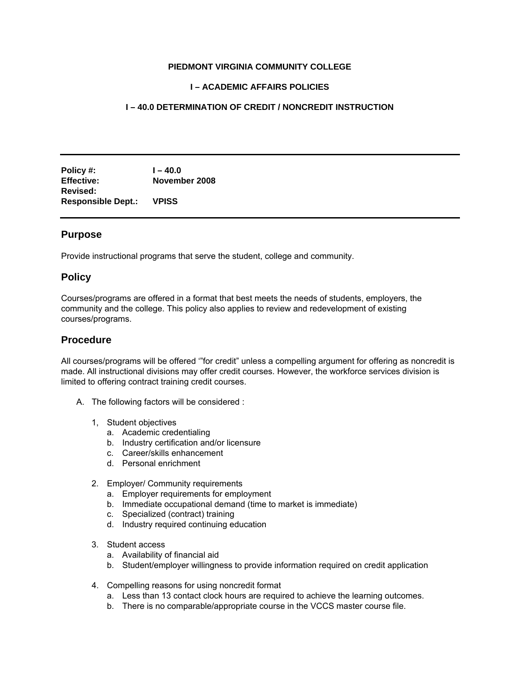#### **PIEDMONT VIRGINIA COMMUNITY COLLEGE**

## **I – ACADEMIC AFFAIRS POLICIES**

## **I – 40.0 DETERMINATION OF CREDIT / NONCREDIT INSTRUCTION**

**Policy #: I – 40.0 Effective: November 2008 Revised: Responsible Dept.: VPISS** 

# **Purpose**

Provide instructional programs that serve the student, college and community.

# **Policy**

Courses/programs are offered in a format that best meets the needs of students, employers, the community and the college. This policy also applies to review and redevelopment of existing courses/programs.

## **Procedure**

All courses/programs will be offered '"for credit" unless a compelling argument for offering as noncredit is made. All instructional divisions may offer credit courses. However, the workforce services division is limited to offering contract training credit courses.

- A. The following factors will be considered :
	- 1, Student objectives
		- a. Academic credentialing
		- b. Industry certification and/or licensure
		- c. Career/skills enhancement
		- d. Personal enrichment
	- 2. Employer/ Community requirements
		- a. Employer requirements for employment
		- b. Immediate occupational demand (time to market is immediate)
		- c. Specialized (contract) training
		- d. Industry required continuing education
	- 3. Student access
		- a. Availability of financial aid
		- b. Student/employer willingness to provide information required on credit application
	- 4. Compelling reasons for using noncredit format
		- a. Less than 13 contact clock hours are required to achieve the learning outcomes.
		- b. There is no comparable/appropriate course in the VCCS master course file.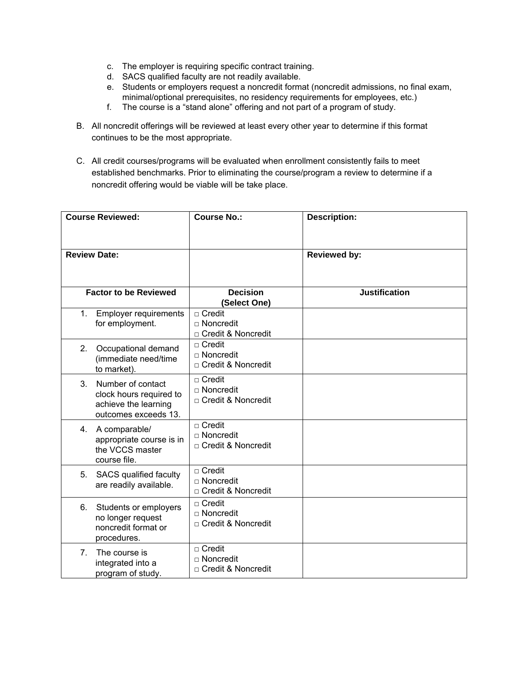- c. The employer is requiring specific contract training.
- d. SACS qualified faculty are not readily available.
- e. Students or employers request a noncredit format (noncredit admissions, no final exam, minimal/optional prerequisites, no residency requirements for employees, etc.)
- f. The course is a "stand alone" offering and not part of a program of study.
- B. All noncredit offerings will be reviewed at least every other year to determine if this format continues to be the most appropriate.
- C. All credit courses/programs will be evaluated when enrollment consistently fails to meet established benchmarks. Prior to eliminating the course/program a review to determine if a noncredit offering would be viable will be take place.

| <b>Course Reviewed:</b>      |                                                                                              | <b>Course No.:</b>                                          | <b>Description:</b>  |  |
|------------------------------|----------------------------------------------------------------------------------------------|-------------------------------------------------------------|----------------------|--|
| <b>Review Date:</b>          |                                                                                              |                                                             | <b>Reviewed by:</b>  |  |
| <b>Factor to be Reviewed</b> |                                                                                              | <b>Decision</b><br>(Select One)                             | <b>Justification</b> |  |
| 1.                           | <b>Employer requirements</b><br>for employment.                                              | $\Box$ Credit<br>$\sqcap$ Noncredit<br>□ Credit & Noncredit |                      |  |
| 2.                           | Occupational demand<br>(immediate need/time<br>to market).                                   | $\Box$ Credit<br>□ Noncredit<br>□ Credit & Noncredit        |                      |  |
| 3.                           | Number of contact<br>clock hours required to<br>achieve the learning<br>outcomes exceeds 13. | $\Box$ Credit<br>$\Box$ Noncredit<br>□ Credit & Noncredit   |                      |  |
| 4.                           | A comparable/<br>appropriate course is in<br>the VCCS master<br>course file.                 | $\Box$ Credit<br>□ Noncredit<br>□ Credit & Noncredit        |                      |  |
| 5.                           | SACS qualified faculty<br>are readily available.                                             | $\Box$ Credit<br>□ Noncredit<br>□ Credit & Noncredit        |                      |  |
| 6.                           | Students or employers<br>no longer request<br>noncredit format or<br>procedures.             | $\sqcap$ Credit<br>□ Noncredit<br>□ Credit & Noncredit      |                      |  |
| 7 <sub>1</sub>               | The course is<br>integrated into a<br>program of study.                                      | $\Box$ Credit<br>□ Noncredit<br>□ Credit & Noncredit        |                      |  |